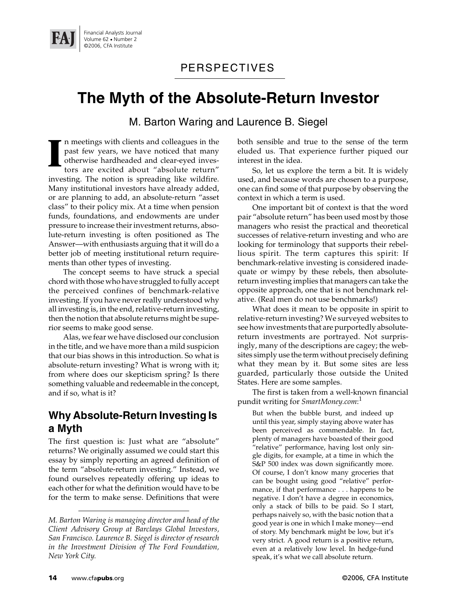

### PERSPECTIVES

# **The Myth of the Absolute-Return Investor**

M. Barton Waring and Laurence B. Siegel

n meetings with clients and colleagues in the past few years, we have noticed that many otherwise hardheaded and clear-eyed investors are excited about "absolute return" investing. The notion is spreading like wildfire. Many institutional investors have already added, or are planning to add, an absolute-return "asset class" to their policy mix. At a time when pension funds, foundations, and endowments are under pressure to increase their investment returns, absolute-return investing is often positioned as The Answer—with enthusiasts arguing that it will do a better job of meeting institutional return requirements than other types of investing. **I**

The concept seems to have struck a special chord with those who have struggled to fully accept the perceived confines of benchmark-relative investing. If you have never really understood why all investing is, in the end, relative-return investing, then the notion that absolute returns might be superior seems to make good sense.

Alas, we fear we have disclosed our conclusion in the title, and we have more than a mild suspicion that our bias shows in this introduction. So what is absolute-return investing? What is wrong with it; from where does our skepticism spring? Is there something valuable and redeemable in the concept, and if so, what is it?

### **Why Absolute-Return Investing Is a Myth**

The first question is: Just what are "absolute" returns? We originally assumed we could start this essay by simply reporting an agreed definition of the term "absolute-return investing." Instead, we found ourselves repeatedly offering up ideas to each other for what the definition would have to be for the term to make sense. Definitions that were

both sensible and true to the sense of the term eluded us. That experience further piqued our interest in the idea.

So, let us explore the term a bit. It is widely used, and because words are chosen to a purpose, one can find some of that purpose by observing the context in which a term is used.

One important bit of context is that the word pair "absolute return" has been used most by those managers who resist the practical and theoretical successes of relative-return investing and who are looking for terminology that supports their rebellious spirit. The term captures this spirit: If benchmark-relative investing is considered inadequate or wimpy by these rebels, then absolutereturn investing implies that managers can take the opposite approach, one that is not benchmark relative. (Real men do not use benchmarks!)

What does it mean to be opposite in spirit to relative-return investing? We surveyed websites to see how investments that are purportedly absolutereturn investments are portrayed. Not surprisingly, many of the descriptions are cagey; the websites simply use the term without precisely defining what they mean by it. But some sites are less guarded, particularly those outside the United States. Here are some samples.

The first is taken from a well-known financial pundit writing for *SmartMoney.com*: 1

But when the bubble burst, and indeed up until this year, simply staying above water has been perceived as commendable. In fact, plenty of managers have boasted of their good "relative" performance, having lost only single digits, for example, at a time in which the S&P 500 index was down significantly more. Of course, I don't know many groceries that can be bought using good "relative" performance, if that performance . . . happens to be negative. I don't have a degree in economics, only a stack of bills to be paid. So I start, perhaps naively so, with the basic notion that a good year is one in which I make money—end of story. My benchmark might be low, but it's very strict. A good return is a positive return, even at a relatively low level. In hedge-fund speak, it's what we call absolute return.

*M. Barton Waring is managing director and head of the Client Advisory Group at Barclays Global Investors, San Francisco. Laurence B. Siegel is director of research in the Investment Division of The Ford Foundation, New York City.*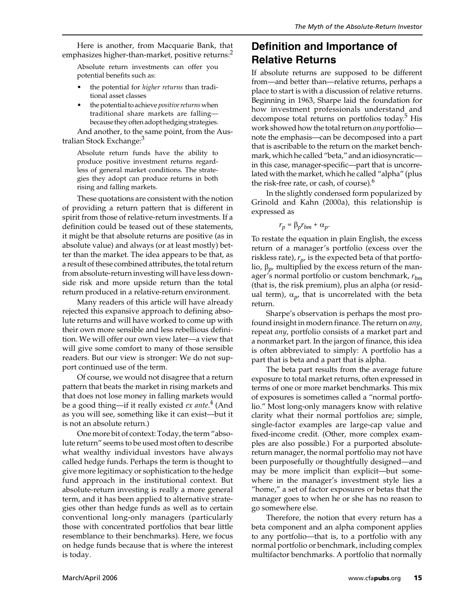Here is another, from Macquarie Bank, that emphasizes higher-than-market, positive returns:<sup>2</sup>

Absolute return investments can offer you potential benefits such as:

- the potential for *higher returns* than traditional asset classes
- the potential to achieve *positive returns* when traditional share markets are falling because they often adopt hedging strategies.

And another, to the same point, from the Australian Stock Exchange:<sup>3</sup>

Absolute return funds have the ability to produce positive investment returns regardless of general market conditions. The strategies they adopt can produce returns in both rising and falling markets.

These quotations are consistent with the notion of providing a return pattern that is different in spirit from those of relative-return investments. If a definition could be teased out of these statements, it might be that absolute returns are positive (as in absolute value) and always (or at least mostly) better than the market. The idea appears to be that, as a result of these combined attributes, the total return from absolute-return investing will have less downside risk and more upside return than the total return produced in a relative-return environment.

Many readers of this article will have already rejected this expansive approach to defining absolute returns and will have worked to come up with their own more sensible and less rebellious definition. We will offer our own view later—a view that will give some comfort to many of those sensible readers. But our view is stronger: We do not support continued use of the term.

Of course, we would not disagree that a return pattern that beats the market in rising markets and that does not lose money in falling markets would be a good thing—if it really existed *ex ante*. 4 (And as you will see, something like it can exist—but it is not an absolute return.)

One more bit of context: Today, the term "absolute return" seems to be used most often to describe what wealthy individual investors have always called hedge funds. Perhaps the term is thought to give more legitimacy or sophistication to the hedge fund approach in the institutional context. But absolute-return investing is really a more general term, and it has been applied to alternative strategies other than hedge funds as well as to certain conventional long-only managers (particularly those with concentrated portfolios that bear little resemblance to their benchmarks). Here, we focus on hedge funds because that is where the interest is today.

### **Definition and Importance of Relative Returns**

If absolute returns are supposed to be different from—and better than—relative returns, perhaps a place to start is with a discussion of relative returns. Beginning in 1963, Sharpe laid the foundation for how investment professionals understand and decompose total returns on portfolios today.<sup>5</sup> His work showed how the total return on *any* portfolio note the emphasis—can be decomposed into a part that is ascribable to the return on the market benchmark, which he called "beta," and an idiosyncratic in this case, manager-specific—part that is uncorrelated with the market, which he called "alpha" (plus the risk-free rate, or cash, of course).<sup>6</sup>

In the slightly condensed form popularized by Grinold and Kahn (2000a), this relationship is expressed as

$$
r_p = \beta_p r_{bm} + \alpha_p.
$$

To restate the equation in plain English, the excess return of a manager's portfolio (excess over the riskless rate),  $r_p$ , is the expected beta of that portfolio,  $β<sub>p</sub>$ , multiplied by the excess return of the manager's normal portfolio or custom benchmark, *rbm* (that is, the risk premium), plus an alpha (or residual term),  $\alpha_p$ , that is uncorrelated with the beta return.

Sharpe's observation is perhaps the most profound insight in modern finance. The return on *any*, repeat *any*, portfolio consists of a market part and a nonmarket part. In the jargon of finance, this idea is often abbreviated to simply: A portfolio has a part that is beta and a part that is alpha.

The beta part results from the average future exposure to total market returns, often expressed in terms of one or more market benchmarks. This mix of exposures is sometimes called a "normal portfolio." Most long-only managers know with relative clarity what their normal portfolios are; simple, single-factor examples are large-cap value and fixed-income credit. (Other, more complex examples are also possible.) For a purported absolutereturn manager, the normal portfolio may not have been purposefully or thoughtfully designed—and may be more implicit than explicit—but somewhere in the manager's investment style lies a "home," a set of factor exposures or betas that the manager goes to when he or she has no reason to go somewhere else.

Therefore, the notion that every return has a beta component and an alpha component applies to any portfolio—that is, to a portfolio with any normal portfolio or benchmark, including complex multifactor benchmarks. A portfolio that normally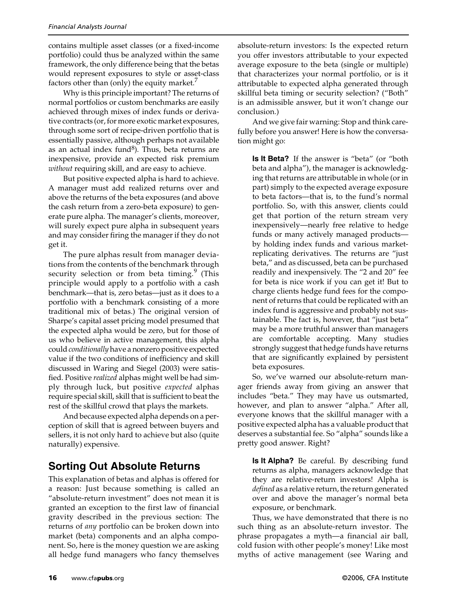contains multiple asset classes (or a fixed-income portfolio) could thus be analyzed within the same framework, the only difference being that the betas would represent exposures to style or asset-class factors other than (only) the equity market.

Why is this principle important? The returns of normal portfolios or custom benchmarks are easily achieved through mixes of index funds or derivative contracts (or, for more exotic market exposures, through some sort of recipe-driven portfolio that is essentially passive, although perhaps not available as an actual index fund $\delta$ ). Thus, beta returns are inexpensive, provide an expected risk premium *without* requiring skill, and are easy to achieve.

But positive expected alpha is hard to achieve. A manager must add realized returns over and above the returns of the beta exposures (and above the cash return from a zero-beta exposure) to generate pure alpha. The manager's clients, moreover, will surely expect pure alpha in subsequent years and may consider firing the manager if they do not get it.

The pure alphas result from manager deviations from the contents of the benchmark through security selection or from beta timing.<sup>9</sup> (This principle would apply to a portfolio with a cash benchmark—that is, zero betas—just as it does to a portfolio with a benchmark consisting of a more traditional mix of betas.) The original version of Sharpe's capital asset pricing model presumed that the expected alpha would be zero, but for those of us who believe in active management, this alpha could *conditionally* have a nonzero positive expected value if the two conditions of inefficiency and skill discussed in Waring and Siegel (2003) were satisfied. Positive *realized* alphas might well be had simply through luck, but positive *expected* alphas require special skill, skill that is sufficient to beat the rest of the skillful crowd that plays the markets.

And because expected alpha depends on a perception of skill that is agreed between buyers and sellers, it is not only hard to achieve but also (quite naturally) expensive.

## **Sorting Out Absolute Returns**

This explanation of betas and alphas is offered for a reason: Just because something is called an "absolute-return investment" does not mean it is granted an exception to the first law of financial gravity described in the previous section: The returns of *any* portfolio can be broken down into market (beta) components and an alpha component. So, here is the money question we are asking all hedge fund managers who fancy themselves

absolute-return investors: Is the expected return you offer investors attributable to your expected average exposure to the beta (single or multiple) that characterizes your normal portfolio, or is it attributable to expected alpha generated through skillful beta timing or security selection? ("Both" is an admissible answer, but it won't change our conclusion.)

And we give fair warning: Stop and think carefully before you answer! Here is how the conversation might go:

**Is It Beta?** If the answer is "beta" (or "both beta and alpha"), the manager is acknowledging that returns are attributable in whole (or in part) simply to the expected average exposure to beta factors—that is, to the fund's normal portfolio. So, with this answer, clients could get that portion of the return stream very inexpensively—nearly free relative to hedge funds or many actively managed products by holding index funds and various marketreplicating derivatives. The returns are "just beta," and as discussed, beta can be purchased readily and inexpensively. The "2 and 20" fee for beta is nice work if you can get it! But to charge clients hedge fund fees for the component of returns that could be replicated with an index fund is aggressive and probably not sustainable. The fact is, however, that "just beta" may be a more truthful answer than managers are comfortable accepting. Many studies strongly suggest that hedge funds have returns that are significantly explained by persistent beta exposures.

So, we've warned our absolute-return manager friends away from giving an answer that includes "beta." They may have us outsmarted, however, and plan to answer "alpha." After all, everyone knows that the skillful manager with a positive expected alpha has a valuable product that deserves a substantial fee. So "alpha" sounds like a pretty good answer. Right?

**Is It Alpha?** Be careful. By describing fund returns as alpha, managers acknowledge that they are relative-return investors! Alpha is *defined* as a relative return, the return generated over and above the manager's normal beta exposure, or benchmark.

Thus, we have demonstrated that there is no such thing as an absolute-return investor. The phrase propagates a myth—a financial air ball, cold fusion with other people's money! Like most myths of active management (see Waring and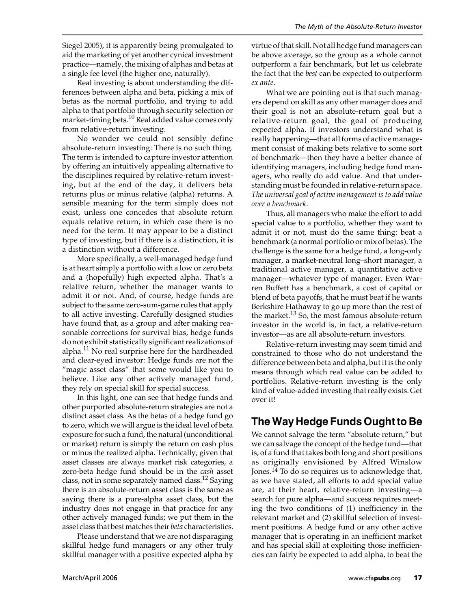Siegel 2005), it is apparently being promulgated to aid the marketing of yet another cynical investment practice—namely, the mixing of alphas and betas at a single fee level (the higher one, naturally).

Real investing is about understanding the differences between alpha and beta, picking a mix of betas as the normal portfolio, and trying to add alpha to that portfolio through security selection or market-timing bets.<sup>10</sup> Real added value comes only from relative-return investing.

No wonder we could not sensibly define absolute-return investing: There is no such thing. The term is intended to capture investor attention by offering an intuitively appealing alternative to the disciplines required by relative-return investing, but at the end of the day, it delivers beta returns plus or minus relative (alpha) returns. A sensible meaning for the term simply does not exist, unless one concedes that absolute return equals relative return, in which case there is no need for the term. It may appear to be a distinct type of investing, but if there is a distinction, it is a distinction without a difference.

More specifically, a well-managed hedge fund is at heart simply a portfolio with a low or zero beta and a (hopefully) high expected alpha. That's a relative return, whether the manager wants to admit it or not. And, of course, hedge funds are subject to the same zero-sum-game rules that apply to all active investing. Carefully designed studies have found that, as a group and after making reasonable corrections for survival bias, hedge funds do not exhibit statistically significant realizations of alpha.<sup>11</sup> No real surprise here for the hardheaded and clear-eyed investor: Hedge funds are not the "magic asset class" that some would like you to believe. Like any other actively managed fund, they rely on special skill for special success.

In this light, one can see that hedge funds and other purported absolute-return strategies are not a distinct asset class. As the betas of a hedge fund go to zero, which we will argue is the ideal level of beta exposure for such a fund, the natural (unconditional or market) return is simply the return on cash plus or minus the realized alpha. Technically, given that asset classes are always market risk categories, a zero-beta hedge fund should be in the *cash* asset class, not in some separately named class.<sup>12</sup> Saying there is an absolute-return asset class is the same as saying there is a pure-alpha asset class, but the industry does not engage in that practice for any other actively managed funds; we put them in the asset class that best matches their *beta* characteristics.

Please understand that we are not disparaging skillful hedge fund managers or any other truly skillful manager with a positive expected alpha by

virtue of that skill. Not all hedge fund managers can be above average, so the group as a whole cannot outperform a fair benchmark, but let us celebrate the fact that the *best* can be expected to outperform *ex ante*.

What we are pointing out is that such managers depend on skill as any other manager does and their goal is not an absolute-return goal but a relative-return goal, the goal of producing expected alpha. If investors understand what is really happening—that all forms of active management consist of making bets relative to some sort of benchmark—then they have a better chance of identifying managers, including hedge fund managers, who really do add value. And that understanding must be founded in relative-return space. *The universal goal of active management is to add value over a benchmark*.

Thus, all managers who make the effort to add special value to a portfolio, whether they want to admit it or not, must do the same thing: beat a benchmark (a normal portfolio or mix of betas). The challenge is the same for a hedge fund, a long-only manager, a market-neutral long–short manager, a traditional active manager, a quantitative active manager—whatever type of manager. Even Warren Buffett has a benchmark, a cost of capital or blend of beta payoffs, that he must beat if he wants Berkshire Hathaway to go up more than the rest of the market.<sup>13</sup> So, the most famous absolute-return investor in the world is, in fact, a relative-return investor—as are all absolute-return investors.

Relative-return investing may seem timid and constrained to those who do not understand the difference between beta and alpha, but it is the only means through which real value can be added to portfolios. Relative-return investing is the only kind of value-added investing that really exists. Get over it!

# **The Way Hedge Funds Ought to Be**

We cannot salvage the term "absolute return," but we can salvage the concept of the hedge fund—that is, of a fund that takes both long and short positions as originally envisioned by Alfred Winslow Jones.14 To do so requires us to acknowledge that, as we have stated, all efforts to add special value are, at their heart, relative-return investing—a search for pure alpha—and success requires meeting the two conditions of (1) inefficiency in the relevant market and (2) skillful selection of investment positions. A hedge fund or any other active manager that is operating in an inefficient market and has special skill at exploiting those inefficiencies can fairly be expected to add alpha, to beat the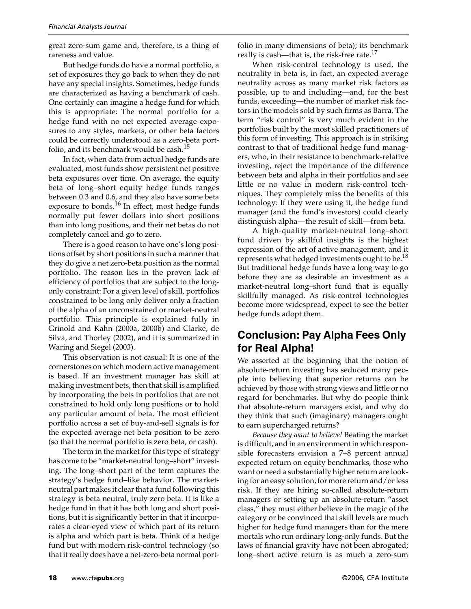great zero-sum game and, therefore, is a thing of rareness and value.

But hedge funds do have a normal portfolio, a set of exposures they go back to when they do not have any special insights. Sometimes, hedge funds are characterized as having a benchmark of cash. One certainly can imagine a hedge fund for which this is appropriate: The normal portfolio for a hedge fund with no net expected average exposures to any styles, markets, or other beta factors could be correctly understood as a zero-beta portfolio, and its benchmark would be cash.<sup>15</sup>

In fact, when data from actual hedge funds are evaluated, most funds show persistent net positive beta exposures over time. On average, the equity beta of long–short equity hedge funds ranges between 0.3 and 0.6, and they also have some beta exposure to bonds. $^{16}$  In effect, most hedge funds normally put fewer dollars into short positions than into long positions, and their net betas do not completely cancel and go to zero.

There is a good reason to have one's long positions offset by short positions in such a manner that they do give a net zero-beta position as the normal portfolio. The reason lies in the proven lack of efficiency of portfolios that are subject to the longonly constraint: For a given level of skill, portfolios constrained to be long only deliver only a fraction of the alpha of an unconstrained or market-neutral portfolio. This principle is explained fully in Grinold and Kahn (2000a, 2000b) and Clarke, de Silva, and Thorley (2002), and it is summarized in Waring and Siegel (2003).

This observation is not casual: It is one of the cornerstones on which modern active management is based. If an investment manager has skill at making investment bets, then that skill is amplified by incorporating the bets in portfolios that are not constrained to hold only long positions or to hold any particular amount of beta. The most efficient portfolio across a set of buy-and-sell signals is for the expected average net beta position to be zero (so that the normal portfolio is zero beta, or cash).

The term in the market for this type of strategy has come to be "market-neutral long–short" investing. The long–short part of the term captures the strategy's hedge fund–like behavior. The marketneutral part makes it clear that a fund following this strategy is beta neutral, truly zero beta. It is like a hedge fund in that it has both long and short positions, but it is significantly better in that it incorporates a clear-eyed view of which part of its return is alpha and which part is beta. Think of a hedge fund but with modern risk-control technology (so that it really does have a net-zero-beta normal portfolio in many dimensions of beta); its benchmark really is cash—that is, the risk-free rate. $17$ 

When risk-control technology is used, the neutrality in beta is, in fact, an expected average neutrality across as many market risk factors as possible, up to and including—and, for the best funds, exceeding—the number of market risk factors in the models sold by such firms as Barra. The term "risk control" is very much evident in the portfolios built by the most skilled practitioners of this form of investing. This approach is in striking contrast to that of traditional hedge fund managers, who, in their resistance to benchmark-relative investing, reject the importance of the difference between beta and alpha in their portfolios and see little or no value in modern risk-control techniques. They completely miss the benefits of this technology: If they were using it, the hedge fund manager (and the fund's investors) could clearly distinguish alpha—the result of skill—from beta.

A high-quality market-neutral long–short fund driven by skillful insights is the highest expression of the art of active management, and it represents what hedged investments ought to be.<sup>18</sup> But traditional hedge funds have a long way to go before they are as desirable an investment as a market-neutral long–short fund that is equally skillfully managed. As risk-control technologies become more widespread, expect to see the better hedge funds adopt them.

### **Conclusion: Pay Alpha Fees Only for Real Alpha!**

We asserted at the beginning that the notion of absolute-return investing has seduced many people into believing that superior returns can be achieved by those with strong views and little or no regard for benchmarks. But why do people think that absolute-return managers exist, and why do they think that such (imaginary) managers ought to earn supercharged returns?

*Because they want to believe!* Beating the market is difficult, and in an environment in which responsible forecasters envision a 7–8 percent annual expected return on equity benchmarks, those who want or need a substantially higher return are looking for an easy solution, for more return and/or less risk. If they are hiring so-called absolute-return managers or setting up an absolute-return "asset class," they must either believe in the magic of the category or be convinced that skill levels are much higher for hedge fund managers than for the mere mortals who run ordinary long-only funds. But the laws of financial gravity have not been abrogated; long–short active return is as much a zero-sum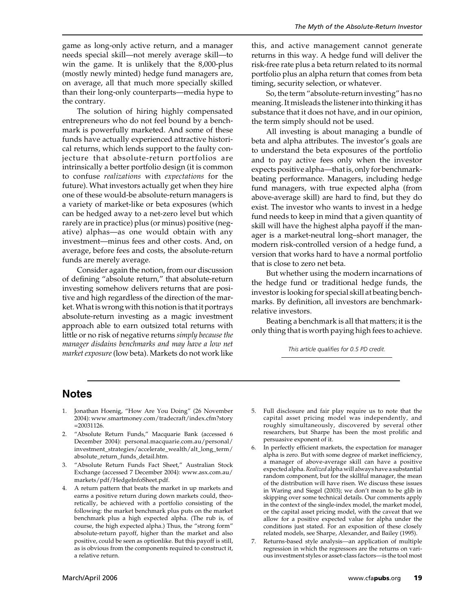game as long-only active return, and a manager needs special skill—not merely average skill—to win the game. It is unlikely that the 8,000-plus (mostly newly minted) hedge fund managers are, on average, all that much more specially skilled than their long-only counterparts—media hype to the contrary.

The solution of hiring highly compensated entrepreneurs who do not feel bound by a benchmark is powerfully marketed. And some of these funds have actually experienced attractive historical returns, which lends support to the faulty conjecture that absolute-return portfolios are intrinsically a better portfolio design (it is common to confuse *realizations* with *expectations* for the future). What investors actually get when they hire one of these would-be absolute-return managers is a variety of market-like or beta exposures (which can be hedged away to a net-zero level but which rarely are in practice) plus (or minus) positive (negative) alphas—as one would obtain with any investment—minus fees and other costs. And, on average, before fees and costs, the absolute-return funds are merely average.

Consider again the notion, from our discussion of defining "absolute return," that absolute-return investing somehow delivers returns that are positive and high regardless of the direction of the market. What is wrong with this notion is that it portrays absolute-return investing as a magic investment approach able to earn outsized total returns with little or no risk of negative returns *simply because the manager disdains benchmarks and may have a low net market exposure* (low beta). Markets do not work like

this, and active management cannot generate returns in this way. A hedge fund will deliver the risk-free rate plus a beta return related to its normal portfolio plus an alpha return that comes from beta timing, security selection, or whatever.

So, the term "absolute-return investing" has no meaning. It misleads the listener into thinking it has substance that it does not have, and in our opinion, the term simply should not be used.

All investing is about managing a bundle of beta and alpha attributes. The investor's goals are to understand the beta exposures of the portfolio and to pay active fees only when the investor expects positive alpha—that is, only for benchmarkbeating performance. Managers, including hedge fund managers, with true expected alpha (from above-average skill) are hard to find, but they do exist. The investor who wants to invest in a hedge fund needs to keep in mind that a given quantity of skill will have the highest alpha payoff if the manager is a market-neutral long–short manager, the modern risk-controlled version of a hedge fund, a version that works hard to have a normal portfolio that is close to zero net beta.

But whether using the modern incarnations of the hedge fund or traditional hedge funds, the investor is looking for special skill at beating benchmarks. By definition, all investors are benchmarkrelative investors.

Beating a benchmark is all that matters; it is the only thing that is worth paying high fees to achieve.

*This article qualifies for 0.5 PD credit.*

#### **Notes**

- 1. Jonathan Hoenig, "How Are You Doing" (26 November 2004): www.smartmoney.com/tradecraft/index.cfm?story =20031126.
- 2. "Absolute Return Funds," Macquarie Bank (accessed 6 December 2004): personal.macquarie.com.au/personal/ investment\_strategies/accelerate\_wealth/alt\_long\_term/ absolute\_return\_funds\_detail.htm.
- 3. "Absolute Return Funds Fact Sheet," Australian Stock Exchange (accessed 7 December 2004): www.asx.com.au/ markets/pdf/HedgeInfoSheet.pdf.
- 4. A return pattern that beats the market in up markets and earns a positive return during down markets could, theoretically, be achieved with a portfolio consisting of the following: the market benchmark plus puts on the market benchmark plus a high expected alpha. (The rub is, of course, the high expected alpha.) Thus, the "strong form" absolute-return payoff, higher than the market and also positive, could be seen as optionlike. But this payoff is still, as is obvious from the components required to construct it, a relative return.
- 5. Full disclosure and fair play require us to note that the capital asset pricing model was independently, and roughly simultaneously, discovered by several other researchers, but Sharpe has been the most prolific and persuasive exponent of it.
- 6. In perfectly efficient markets, the expectation for manager alpha is zero. But with some degree of market inefficiency, a manager of above-average skill can have a positive expected alpha. *Realized* alpha will always have a substantial random component, but for the skillful manager, the mean of the distribution will have risen. We discuss these issues in Waring and Siegel (2003); we don't mean to be glib in skipping over some technical details. Our comments apply in the context of the single-index model, the market model, or the capital asset pricing model, with the caveat that we allow for a positive expected value for alpha under the conditions just stated. For an exposition of these closely related models, see Sharpe, Alexander, and Bailey (1995).
- Returns-based style analysis—an application of multiple regression in which the regressors are the returns on various investment styles or asset-class factors—is the tool most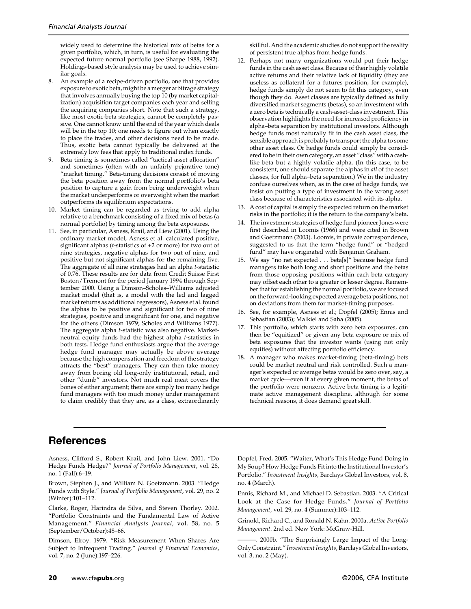widely used to determine the historical mix of betas for a given portfolio, which, in turn, is useful for evaluating the expected future normal portfolio (see Sharpe 1988, 1992). Holdings-based style analysis may be used to achieve similar goals.

- 8. An example of a recipe-driven portfolio, one that provides exposure to exotic beta, might be a merger arbitrage strategy that involves annually buying the top 10 (by market capitalization) acquisition target companies each year and selling the acquiring companies short. Note that such a strategy, like most exotic-beta strategies, cannot be completely passive. One cannot know until the end of the year which deals will be in the top 10; one needs to figure out when exactly to place the trades, and other decisions need to be made. Thus, exotic beta cannot typically be delivered at the extremely low fees that apply to traditional index funds.
- 9. Beta timing is sometimes called "tactical asset allocation" and sometimes (often with an unfairly pejorative tone) "market timing." Beta-timing decisions consist of moving the beta position away from the normal portfolio's beta position to capture a gain from being underweight when the market underperforms or overweight when the market outperforms its equilibrium expectations.
- 10. Market timing can be regarded as trying to add alpha relative to a benchmark consisting of a fixed mix of betas (a normal portfolio) by timing among the beta exposures.
- 11. See, in particular, Asness, Krail, and Liew (2001). Using the ordinary market model, Asness et al. calculated positive, significant alphas (*t*-statistics of +2 or more) for two out of nine strategies, negative alphas for two out of nine, and positive but not significant alphas for the remaining five. The aggregate of all nine strategies had an alpha *t*-statistic of 0.76. These results are for data from Credit Suisse First Boston/Tremont for the period January 1994 through September 2000. Using a Dimson–Scholes–Williams adjusted market model (that is, a model with the led and lagged market returns as additional regressors), Asness et al. found the alphas to be positive and significant for two of nine strategies, positive and insignificant for one, and negative for the others (Dimson 1979; Scholes and Williams 1977). The aggregate alpha *t*-statistic was also negative. Marketneutral equity funds had the highest alpha *t*-statistics in both tests. Hedge fund enthusiasts argue that the average hedge fund manager may actually be above average because the high compensation and freedom of the strategy attracts the "best" managers. They can then take money away from boring old long-only institutional, retail, and other "dumb" investors. Not much real meat covers the bones of either argument; there are simply too many hedge fund managers with too much money under management to claim credibly that they are, as a class, extraordinarily

skillful. And the academic studies do not support the reality of persistent true alphas from hedge funds.

- 12. Perhaps not many organizations would put their hedge funds in the cash asset class. Because of their highly volatile active returns and their relative lack of liquidity (they are useless as collateral for a futures position, for example), hedge funds simply do not seem to fit this category, even though they do. Asset classes are typically defined as fully diversified market segments (betas), so an investment with a zero beta is technically a cash-asset-class investment. This observation highlights the need for increased proficiency in alpha–beta separation by institutional investors. Although hedge funds most naturally fit in the cash asset class, the sensible approach is probably to transport the alpha to some other asset class. Or hedge funds could simply be considered to be in their own category, an asset "class" with a cashlike beta but a highly volatile alpha. (In this case, to be consistent, one should separate the alphas in *all* of the asset classes, for full alpha–beta separation.) We in the industry confuse ourselves when, as in the case of hedge funds, we insist on putting a type of investment in the wrong asset class because of characteristics associated with its alpha.
- 13. A cost of capital is simply the expected return on the market risks in the portfolio; it is the return to the company's beta.
- 14. The investment strategies of hedge fund pioneer Jones were first described in Loomis (1966) and were cited in Brown and Goetzmann (2003). Loomis, in private correspondence, suggested to us that the term "hedge fund" or "hedged fund" may have originated with Benjamin Graham.
- 15. We say "no net expected . . . beta[s]" because hedge fund managers take both long and short positions and the betas from those opposing positions within each beta category may offset each other to a greater or lesser degree. Remember that for establishing the normal portfolio, we are focused on the forward-looking expected average beta positions, not on deviations from them for market-timing purposes.
- 16. See, for example, Asness et al.; Dopfel (2005); Ennis and Sebastian (2003); Malkiel and Saha (2005).
- 17. This portfolio, which starts with zero beta exposures, can then be "equitized" or given any beta exposure or mix of beta exposures that the investor wants (using not only equities) without affecting portfolio efficiency.
- 18. A manager who makes market-timing (beta-timing) bets could be market neutral and risk controlled. Such a manager's expected or average betas would be zero over, say, a market cycle—even if at every given moment, the betas of the portfolio were nonzero. Active beta timing is a legitimate active management discipline, although for some technical reasons, it does demand great skill.

### **References**

Asness, Clifford S., Robert Krail, and John Liew. 2001. "Do Hedge Funds Hedge?" *Journal of Portfolio Management*, vol. 28, no. 1 (Fall):6–19.

Brown, Stephen J., and William N. Goetzmann. 2003. "Hedge Funds with Style." *Journal of Portfolio Management*, vol. 29, no. 2 (Winter):101–112.

Clarke, Roger, Harindra de Silva, and Steven Thorley. 2002. "Portfolio Constraints and the Fundamental Law of Active Management." *Financial Analysts Journal*, vol. 58, no. 5 (September/October):48–66.

Dimson, Elroy. 1979. "Risk Measurement When Shares Are Subject to Infrequent Trading." *Journal of Financial Economics*, vol. 7, no. 2 (June):197–226.

Dopfel, Fred. 2005. "Waiter, What's This Hedge Fund Doing in My Soup? How Hedge Funds Fit into the Institutional Investor's Portfolio." *Investment Insights*, Barclays Global Investors, vol. 8, no. 4 (March).

Ennis, Richard M., and Michael D. Sebastian. 2003. "A Critical Look at the Case for Hedge Funds." *Journal of Portfolio Management*, vol. 29, no. 4 (Summer):103–112.

Grinold, Richard C., and Ronald N. Kahn. 2000a. *Active Portfolio Management*. 2nd ed. New York: McGraw-Hill.

———. 2000b. "The Surprisingly Large Impact of the Long-Only Constraint." *Investment Insights*, Barclays Global Investors, vol. 3, no. 2 (May).